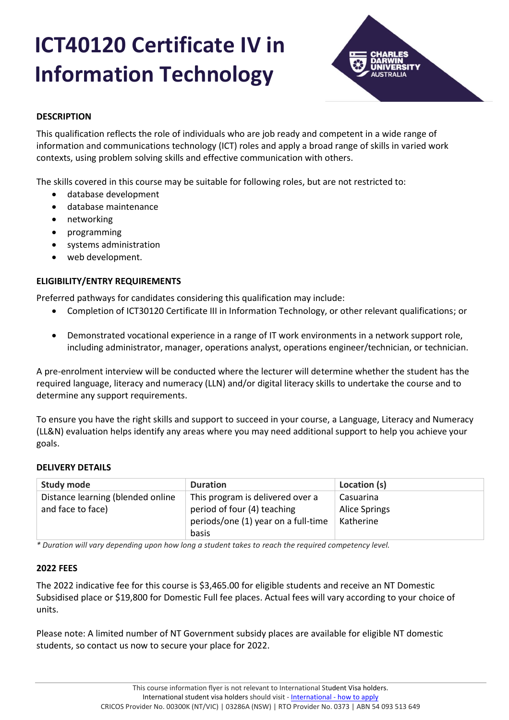# **ICT40120 Certificate IV in Information Technology**



# **DESCRIPTION**

This qualification reflects the role of individuals who are job ready and competent in a wide range of information and communications technology (ICT) roles and apply a broad range of skills in varied work contexts, using problem solving skills and effective communication with others.

The skills covered in this course may be suitable for following roles, but are not restricted to:

- database development
- database maintenance
- networking
- programming
- systems administration
- web development.

# **ELIGIBILITY/ENTRY REQUIREMENTS**

Preferred pathways for candidates considering this qualification may include:

- Completion of ICT30120 Certificate III in Information Technology, or other relevant qualifications; or
- Demonstrated vocational experience in a range of IT work environments in a network support role, including administrator, manager, operations analyst, operations engineer/technician, or technician.

A pre-enrolment interview will be conducted where the lecturer will determine whether the student has the required language, literacy and numeracy (LLN) and/or digital literacy skills to undertake the course and to determine any support requirements.

To ensure you have the right skills and support to succeed in your course, a Language, Literacy and Numeracy (LL&N) evaluation helps identify any areas where you may need additional support to help you achieve your goals.

# **DELIVERY DETAILS**

| <b>Study mode</b>                 | <b>Duration</b>                     | Location (s)         |
|-----------------------------------|-------------------------------------|----------------------|
| Distance learning (blended online | This program is delivered over a    | Casuarina            |
| and face to face)                 | period of four (4) teaching         | <b>Alice Springs</b> |
|                                   | periods/one (1) year on a full-time | Katherine            |
|                                   | basis                               |                      |

*\* Duration will vary depending upon how long a student takes to reach the required competency level.*

# **2022 FEES**

The 2022 indicative fee for this course is \$3,465.00 for eligible students and receive an NT Domestic Subsidised place or \$19,800 for Domestic Full fee places. Actual fees will vary according to your choice of units.

Please note: A limited number of NT Government subsidy places are available for eligible NT domestic students, so contact us now to secure your place for 2022.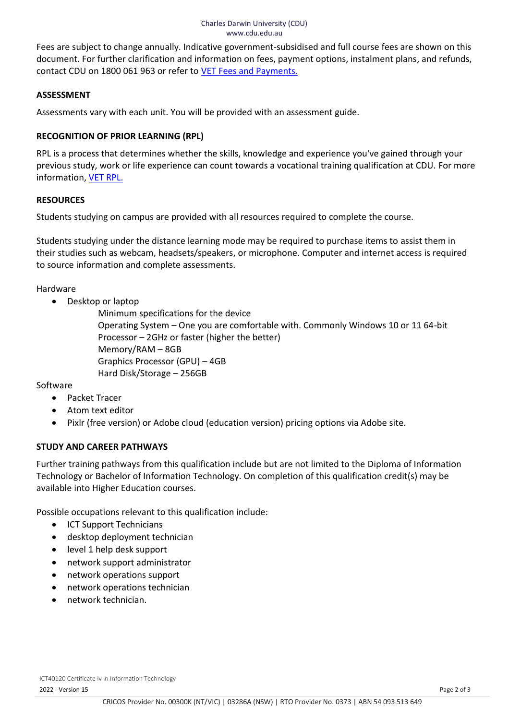Fees are subject to change annually. Indicative government-subsidised and full course fees are shown on this document. For further clarification and information on fees, payment options, instalment plans, and refunds, contact CDU on 1800 061 963 or refer to [VET Fees and Payments.](https://www.cdu.edu.au/current-students/student-admin/fees-payments)

# **ASSESSMENT**

Assessments vary with each unit. You will be provided with an assessment guide.

# **RECOGNITION OF PRIOR LEARNING (RPL)**

RPL is a process that determines whether the skills, knowledge and experience you've gained through your previous study, work or life experience can count towards a vocational training qualification at CDU. For more information, **[VET RPL.](https://www.cdu.edu.au/study/vocational-education-training/rpl)** 

# **RESOURCES**

Students studying on campus are provided with all resources required to complete the course.

Students studying under the distance learning mode may be required to purchase items to assist them in their studies such as webcam, headsets/speakers, or microphone. Computer and internet access is required to source information and complete assessments.

Hardware

• Desktop or laptop

Minimum specifications for the device Operating System – One you are comfortable with. Commonly Windows 10 or 11 64-bit Processor – 2GHz or faster (higher the better) Memory/RAM – 8GB Graphics Processor (GPU) – 4GB Hard Disk/Storage – 256GB

Software

- Packet Tracer
- Atom text editor
- Pixlr (free version) or Adobe cloud (education version) pricing options via Adobe site.

# **STUDY AND CAREER PATHWAYS**

Further training pathways from this qualification include but are not limited to the Diploma of Information Technology or Bachelor of Information Technology. On completion of this qualification credit(s) may be available into Higher Education courses.

Possible occupations relevant to this qualification include:

- ICT Support Technicians
- desktop deployment technician
- level 1 help desk support
- network support administrator
- network operations support
- network operations technician
- network technician.